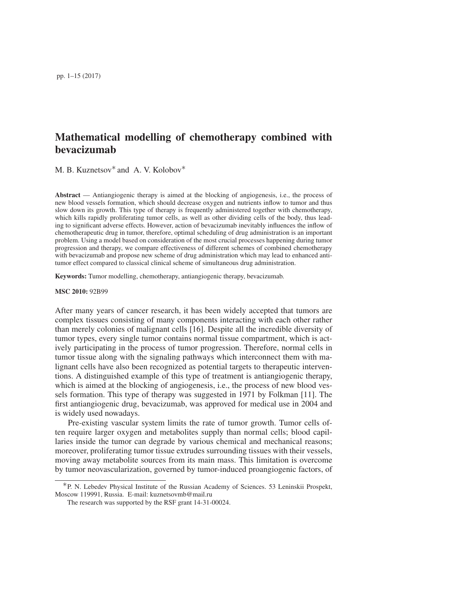# Mathematical modelling of chemotherapy combined with bevacizumab

M. B. Kuznetsov<sup>\*</sup> and A. V. Kolobov<sup>\*</sup>

Abstract — Antiangiogenic therapy is aimed at the blocking of angiogenesis, i.e., the process of new blood vessels formation, which should decrease oxygen and nutrients inflow to tumor and thus slow down its growth. This type of therapy is frequently administered together with chemotherapy, which kills rapidly proliferating tumor cells, as well as other dividing cells of the body, thus leading to significant adverse effects. However, action of bevacizumab inevitably influences the inflow of chemotherapeutic drug in tumor, therefore, optimal scheduling of drug administration is an important problem. Using a model based on consideration of the most crucial processes happening during tumor progression and therapy, we compare effectiveness of different schemes of combined chemotherapy with bevacizumab and propose new scheme of drug administration which may lead to enhanced antitumor effect compared to classical clinical scheme of simultaneous drug administration.

Keywords: Tumor modelling, chemotherapy, antiangiogenic therapy, bevacizumab.

#### MSC 2010: 92B99

After many years of cancer research, it has been widely accepted that tumors are complex tissues consisting of many components interacting with each other rather than merely colonies of malignant cells [16]. Despite all the incredible diversity of tumor types, every single tumor contains normal tissue compartment, which is actively participating in the process of tumor progression. Therefore, normal cells in tumor tissue along with the signaling pathways which interconnect them with malignant cells have also been recognized as potential targets to therapeutic interventions. A distinguished example of this type of treatment is antiangiogenic therapy, which is aimed at the blocking of angiogenesis, i.e., the process of new blood vessels formation. This type of therapy was suggested in 1971 by Folkman [11]. The first antiangiogenic drug, bevacizumab, was approved for medical use in 2004 and is widely used nowadays.

Pre-existing vascular system limits the rate of tumor growth. Tumor cells often require larger oxygen and metabolites supply than normal cells; blood capillaries inside the tumor can degrade by various chemical and mechanical reasons; moreover, proliferating tumor tissue extrudes surrounding tissues with their vessels, moving away metabolite sources from its main mass. This limitation is overcome by tumor neovascularization, governed by tumor-induced proangiogenic factors, of

<sup>∗</sup>P. N. Lebedev Physical Institute of the Russian Academy of Sciences. 53 Leninskii Prospekt, Moscow 119991, Russia. E-mail: kuznetsovmb@mail.ru

The research was supported by the RSF grant 14-31-00024.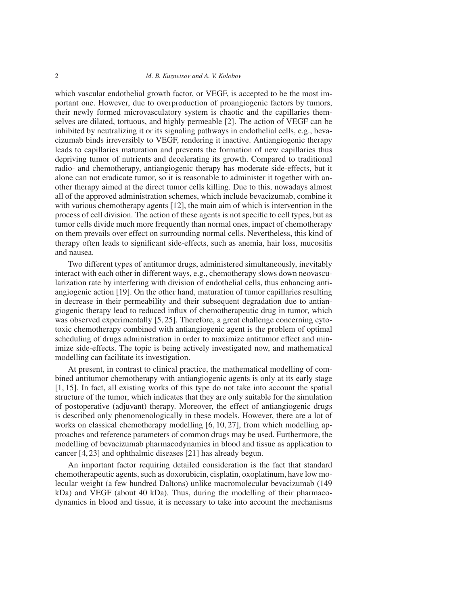### 2 *M. B. Kuznetsov and A. V. Kolobov*

which vascular endothelial growth factor, or VEGF, is accepted to be the most important one. However, due to overproduction of proangiogenic factors by tumors, their newly formed microvasculatory system is chaotic and the capillaries themselves are dilated, tortuous, and highly permeable [2]. The action of VEGF can be inhibited by neutralizing it or its signaling pathways in endothelial cells, e.g., bevacizumab binds irreversibly to VEGF, rendering it inactive. Antiangiogenic therapy leads to capillaries maturation and prevents the formation of new capillaries thus depriving tumor of nutrients and decelerating its growth. Compared to traditional radio- and chemotherapy, antiangiogenic therapy has moderate side-effects, but it alone can not eradicate tumor, so it is reasonable to administer it together with another therapy aimed at the direct tumor cells killing. Due to this, nowadays almost all of the approved administration schemes, which include bevacizumab, combine it with various chemotherapy agents [12], the main aim of which is intervention in the process of cell division. The action of these agents is not specific to cell types, but as tumor cells divide much more frequently than normal ones, impact of chemotherapy on them prevails over effect on surrounding normal cells. Nevertheless, this kind of therapy often leads to significant side-effects, such as anemia, hair loss, mucositis and nausea.

Two different types of antitumor drugs, administered simultaneously, inevitably interact with each other in different ways, e.g., chemotherapy slows down neovascularization rate by interfering with division of endothelial cells, thus enhancing antiangiogenic action [19]. On the other hand, maturation of tumor capillaries resulting in decrease in their permeability and their subsequent degradation due to antiangiogenic therapy lead to reduced influx of chemotherapeutic drug in tumor, which was observed experimentally [5, 25]. Therefore, a great challenge concerning cytotoxic chemotherapy combined with antiangiogenic agent is the problem of optimal scheduling of drugs administration in order to maximize antitumor effect and minimize side-effects. The topic is being actively investigated now, and mathematical modelling can facilitate its investigation.

At present, in contrast to clinical practice, the mathematical modelling of combined antitumor chemotherapy with antiangiogenic agents is only at its early stage [1, 15]. In fact, all existing works of this type do not take into account the spatial structure of the tumor, which indicates that they are only suitable for the simulation of postoperative (adjuvant) therapy. Moreover, the effect of antiangiogenic drugs is described only phenomenologically in these models. However, there are a lot of works on classical chemotherapy modelling [6, 10, 27], from which modelling approaches and reference parameters of common drugs may be used. Furthermore, the modelling of bevacizumab pharmacodynamics in blood and tissue as application to cancer [4, 23] and ophthalmic diseases [21] has already begun.

An important factor requiring detailed consideration is the fact that standard chemotherapeutic agents, such as doxorubicin, cisplatin, oxoplatinum, have low molecular weight (a few hundred Daltons) unlike macromolecular bevacizumab (149 kDa) and VEGF (about 40 kDa). Thus, during the modelling of their pharmacodynamics in blood and tissue, it is necessary to take into account the mechanisms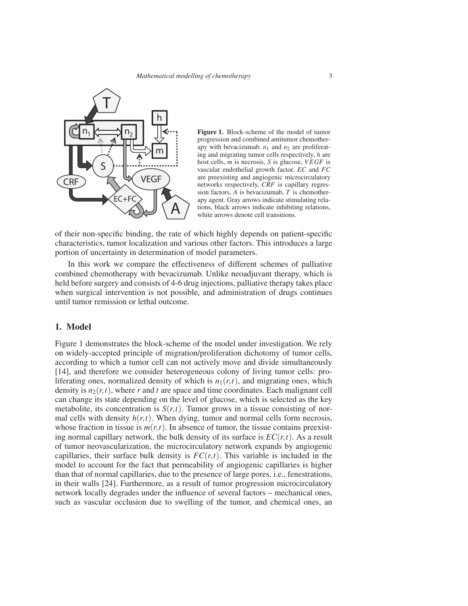

Figure 1. Block-scheme of the model of tumor progression and combined antitumor chemotherapy with bevacizumab.  $n_1$  and  $n_2$  are proliferating and migrating tumor cells respectively, *h* are host cells, *m* is necrosis, *S* is glucose, *V EGF* is vascular endothelial growth factor, *EC* and *FC* are preexisting and angiogenic microcirculatory networks respectively, *CRF* is capillary regression factors, *A* is bevacizumab, *T* is chemotherapy agent. Gray arrows indicate stimulating relations, black arrows indicate inhibiting relations, white arrows denote cell transitions.

of their non-specific binding, the rate of which highly depends on patient-specific characteristics, tumor localization and various other factors. This introduces a large portion of uncertainty in determination of model parameters.

In this work we compare the effectiveness of different schemes of palliative combined chemotherapy with bevacizumab. Unlike neoadjuvant therapy, which is held before surgery and consists of 4-6 drug injections, palliative therapy takes place when surgical intervention is not possible, and administration of drugs continues until tumor remission or lethal outcome.

# 1. Model

Figure 1 demonstrates the block-scheme of the model under investigation. We rely on widely-accepted principle of migration/proliferation dichotomy of tumor cells, according to which a tumor cell can not actively move and divide simultaneously [14], and therefore we consider heterogeneous colony of living tumor cells: proliferating ones, normalized density of which is  $n_1(r,t)$ , and migrating ones, which density is  $n_2(r,t)$ , where *r* and *t* are space and time coordinates. Each malignant cell can change its state depending on the level of glucose, which is selected as the key metabolite, its concentration is  $S(r,t)$ . Tumor grows in a tissue consisting of normal cells with density  $h(r,t)$ . When dying, tumor and normal cells form necrosis, whose fraction in tissue is  $m(r,t)$ . In absence of tumor, the tissue contains preexisting normal capillary network, the bulk density of its surface is  $EC(r,t)$ . As a result of tumor neovascularization, the microcirculatory network expands by angiogenic capillaries, their surface bulk density is  $FC(r,t)$ . This variable is included in the model to account for the fact that permeability of angiogenic capillaries is higher than that of normal capillaries, due to the presence of large pores, i.e., fenestrations, in their walls [24]. Furthermore, as a result of tumor progression microcirculatory network locally degrades under the influence of several factors – mechanical ones, such as vascular occlusion due to swelling of the tumor, and chemical ones, an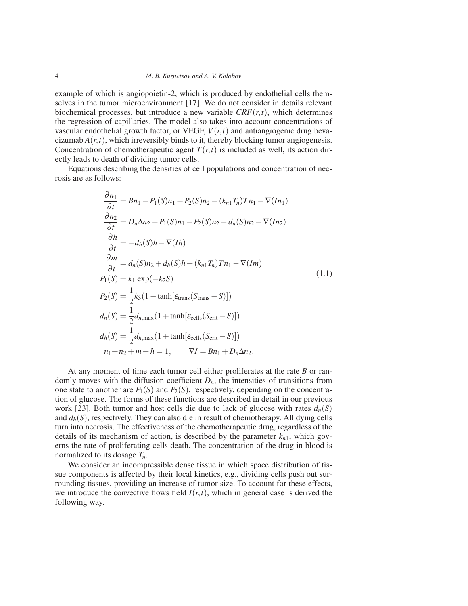#### 4 *M. B. Kuznetsov and A. V. Kolobov*

example of which is angiopoietin-2, which is produced by endothelial cells themselves in the tumor microenvironment [17]. We do not consider in details relevant biochemical processes, but introduce a new variable  $CRF(r,t)$ , which determines the regression of capillaries. The model also takes into account concentrations of vascular endothelial growth factor, or VEGF,  $V(r,t)$  and antiangiogenic drug bevacizumab  $A(r,t)$ , which irreversibly binds to it, thereby blocking tumor angiogenesis. Concentration of chemotherapeutic agent  $T(r,t)$  is included as well, its action directly leads to death of dividing tumor cells.

Equations describing the densities of cell populations and concentration of necrosis are as follows:

$$
\frac{\partial n_1}{\partial t} = Bn_1 - P_1(S)n_1 + P_2(S)n_2 - (k_{n1}T_n)Tn_1 - \nabla(In_1)
$$
\n
$$
\frac{\partial n_2}{\partial t} = D_n \Delta n_2 + P_1(S)n_1 - P_2(S)n_2 - d_n(S)n_2 - \nabla(In_2)
$$
\n
$$
\frac{\partial h}{\partial t} = -d_h(S)h - \nabla(In)
$$
\n
$$
\frac{\partial m}{\partial t} = d_n(S)n_2 + d_h(S)h + (k_{n1}T_n)Tn_1 - \nabla(Im)
$$
\n
$$
P_1(S) = k_1 \exp(-k_2S)
$$
\n
$$
P_2(S) = \frac{1}{2}k_3(1 - \tanh[\varepsilon_{\text{trans}}(S_{\text{trans}} - S)])
$$
\n
$$
d_n(S) = \frac{1}{2}d_{n,\text{max}}(1 + \tanh[\varepsilon_{\text{cells}}(S_{\text{crit}} - S)])
$$
\n
$$
d_h(S) = \frac{1}{2}d_{h,\text{max}}(1 + \tanh[\varepsilon_{\text{cells}}(S_{\text{crit}} - S)])
$$
\n
$$
n_1 + n_2 + m + h = 1, \qquad \nabla I = Bn_1 + D_n \Delta n_2.
$$
\n(14.11)

At any moment of time each tumor cell either proliferates at the rate *B* or randomly moves with the diffusion coefficient  $D_n$ , the intensities of transitions from one state to another are  $P_1(S)$  and  $P_2(S)$ , respectively, depending on the concentration of glucose. The forms of these functions are described in detail in our previous work [23]. Both tumor and host cells die due to lack of glucose with rates  $d_n(S)$ and  $d_h(S)$ , respectively. They can also die in result of chemotherapy. All dying cells turn into necrosis. The effectiveness of the chemotherapeutic drug, regardless of the details of its mechanism of action, is described by the parameter  $k_{n1}$ , which governs the rate of proliferating cells death. The concentration of the drug in blood is normalized to its dosage *Tn*.

We consider an incompressible dense tissue in which space distribution of tissue components is affected by their local kinetics, e.g., dividing cells push out surrounding tissues, providing an increase of tumor size. To account for these effects, we introduce the convective flows field  $I(r,t)$ , which in general case is derived the following way.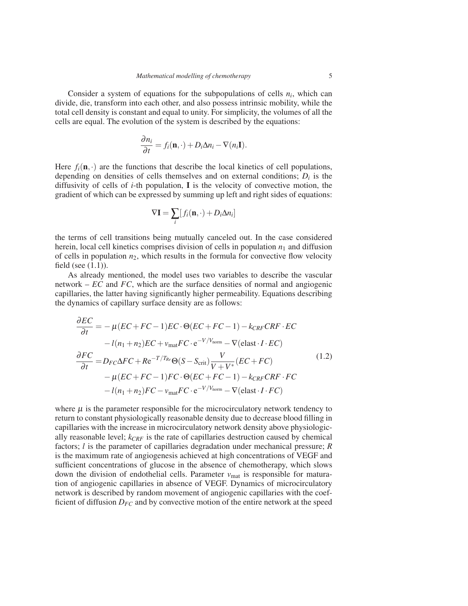Consider a system of equations for the subpopulations of cells  $n_i$ , which can divide, die, transform into each other, and also possess intrinsic mobility, while the total cell density is constant and equal to unity. For simplicity, the volumes of all the cells are equal. The evolution of the system is described by the equations:

$$
\frac{\partial n_i}{\partial t} = f_i(\mathbf{n}, \cdot) + D_i \Delta n_i - \nabla(n_i \mathbf{I}).
$$

Here  $f_i(\mathbf{n},\cdot)$  are the functions that describe the local kinetics of cell populations, depending on densities of cells themselves and on external conditions;  $D_i$  is the diffusivity of cells of *i*-th population, I is the velocity of convective motion, the gradient of which can be expressed by summing up left and right sides of equations:

$$
\nabla \mathbf{I} = \sum_{i} [f_i(\mathbf{n}, \cdot) + D_i \Delta n_i]
$$

the terms of cell transitions being mutually canceled out. In the case considered herein, local cell kinetics comprises division of cells in population  $n_1$  and diffusion of cells in population  $n_2$ , which results in the formula for convective flow velocity field (see (1.1)).

As already mentioned, the model uses two variables to describe the vascular network – *EC* and *FC*, which are the surface densities of normal and angiogenic capillaries, the latter having significantly higher permeability. Equations describing the dynamics of capillary surface density are as follows:

$$
\frac{\partial EC}{\partial t} = -\mu (EC + FC - 1)EC \cdot \Theta (EC + FC - 1) - k_{CRF}CRF \cdot EC \n- l(n_1 + n_2)EC + v_{mat}FC \cdot e^{-V/V_{norm}} - \nabla (\text{elast} \cdot I \cdot EC) \n\frac{\partial FC}{\partial t} = D_{FC}\Delta FC + Re^{-T/T_{Re}}\Theta (S - S_{crit}) \frac{V}{V + V^*}(EC + FC) \n- \mu (EC + FC - 1)FC \cdot \Theta (EC + FC - 1) - k_{CRF}CRF \cdot FC \n- l(n_1 + n_2)FC - v_{mat}FC \cdot e^{-V/V_{norm}} - \nabla (\text{elast} \cdot I \cdot FC)
$$
\n(1.2)

where  $\mu$  is the parameter responsible for the microcirculatory network tendency to return to constant physiologically reasonable density due to decrease blood filling in capillaries with the increase in microcirculatory network density above physiologically reasonable level; *kCRF* is the rate of capillaries destruction caused by chemical factors; *l* is the parameter of capillaries degradation under mechanical pressure; *R* is the maximum rate of angiogenesis achieved at high concentrations of VEGF and sufficient concentrations of glucose in the absence of chemotherapy, which slows down the division of endothelial cells. Parameter  $v_{\text{mat}}$  is responsible for maturation of angiogenic capillaries in absence of VEGF. Dynamics of microcirculatory network is described by random movement of angiogenic capillaries with the coefficient of diffusion *DFC* and by convective motion of the entire network at the speed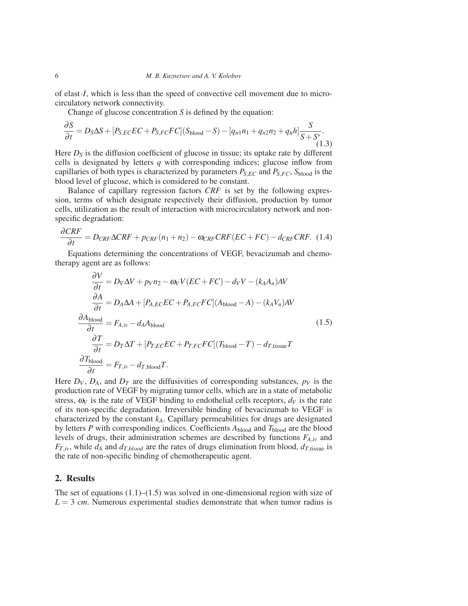of elast·*I*, which is less than the speed of convective cell movement due to microcirculatory network connectivity.

Change of glucose concentration *S* is defined by the equation:

$$
\frac{\partial S}{\partial t} = D_S \Delta S + [P_{S,EC} EC + P_{S,FC} FC](S_{blood} - S) - [q_{n1}n_1 + q_{n2}n_2 + q_h h] \frac{S}{S + S^*}. \tag{1.3}
$$

Here  $D<sub>S</sub>$  is the diffusion coefficient of glucose in tissue; its uptake rate by different cells is designated by letters *q* with corresponding indices; glucose inflow from capillaries of both types is characterized by parameters  $P_{S,EC}$  and  $P_{S,FC}$ ,  $S_{blood}$  is the blood level of glucose, which is considered to be constant.

Balance of capillary regression factors *CRF* is set by the following expression, terms of which designate respectively their diffusion, production by tumor cells, utilization as the result of interaction with microcirculatory network and nonspecific degradation:

$$
\frac{\partial CRF}{\partial t} = D_{CRF} \Delta CRF + p_{CRF}(n_1 + n_2) - \omega_{CRF} CRF(EC + FC) - d_{CRF} CRF.
$$
 (1.4)

Equations determining the concentrations of VEGF, bevacizumab and chemotherapy agent are as follows:

$$
\frac{\partial V}{\partial t} = D_V \Delta V + p_V n_2 - \omega_V V (EC + FC) - d_V V - (k_A A_n) AV
$$
  
\n
$$
\frac{\partial A}{\partial t} = D_A \Delta A + [P_{A,EC} EC + P_{A,FC} FC](A_{blood} - A) - (k_A V_n) AV
$$
  
\n
$$
\frac{\partial A_{blood}}{\partial t} = F_{A,i\nu} - d_A A_{blood}
$$
  
\n
$$
\frac{\partial T}{\partial t} = D_T \Delta T + [P_{T,EC} EC + P_{T,FC} FC](T_{blood} - T) - d_{T, tissue} T
$$
  
\n
$$
\frac{\partial T_{blood}}{\partial t} = F_{T,i\nu} - d_{T, blood} T.
$$
  
\n(1.5)

Here  $D_V$ ,  $D_A$ , and  $D_T$  are the diffusivities of corresponding substances,  $p_V$  is the production rate of VEGF by migrating tumor cells, which are in a state of metabolic stress,  $\omega_V$  is the rate of VEGF binding to endothelial cells receptors,  $d_V$  is the rate of its non-specific degradation. Irreversible binding of bevacizumab to VEGF is characterized by the constant *kA*. Capillary permeabilities for drugs are designated by letters  $P$  with corresponding indices. Coefficients  $A_{\text{blood}}$  and  $T_{\text{blood}}$  are the blood levels of drugs, their administration schemes are described by functions *FA*,*iv* and  $F_{T,iv}$ , while  $d_A$  and  $d_{T,blood}$  are the rates of drugs elimination from blood,  $d_{T,tissue}$  is the rate of non-specific binding of chemotherapeutic agent.

# 2. Results

The set of equations  $(1.1)$ – $(1.5)$  was solved in one-dimensional region with size of  $L = 3$  *cm*. Numerous experimental studies demonstrate that when tumor radius is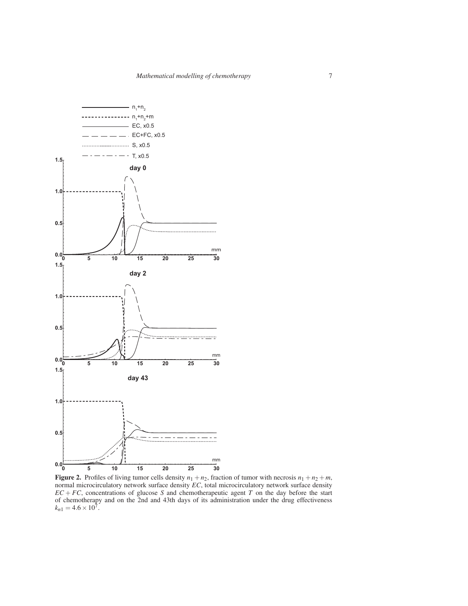

Figure 2. Profiles of living tumor cells density  $n_1 + n_2$ , fraction of tumor with necrosis  $n_1 + n_2 + m$ , normal microcirculatory network surface density *EC*, total microcirculatory network surface density *EC* + *FC*, concentrations of glucose *S* and chemotherapeutic agent *T* on the day before the start of chemotherapy and on the 2nd and 43th days of its administration under the drug effectiveness  $k_{n1} = 4.6 \times 10^{7}$ .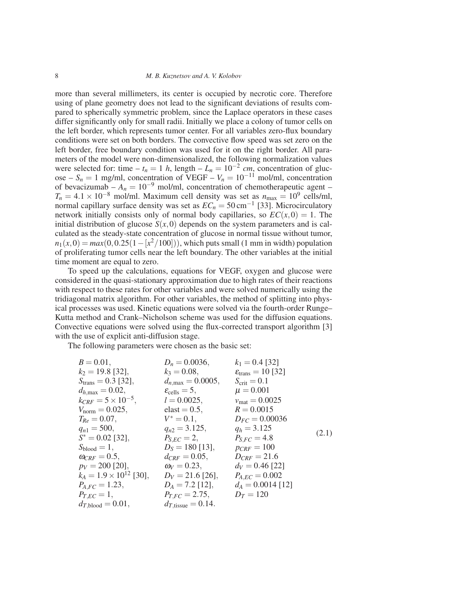more than several millimeters, its center is occupied by necrotic core. Therefore using of plane geometry does not lead to the significant deviations of results compared to spherically symmetric problem, since the Laplace operators in these cases differ significantly only for small radii. Initially we place a colony of tumor cells on the left border, which represents tumor center. For all variables zero-flux boundary conditions were set on both borders. The convective flow speed was set zero on the left border, free boundary condition was used for it on the right border. All parameters of the model were non-dimensionalized, the following normalization values were selected for: time –  $t_n = 1$  *h*, length –  $L_n = 10^{-2}$  *cm*, concentration of glucose –  $S_n = 1$  mg/ml, concentration of VEGF –  $V_n = 10^{-11}$  mol/ml, concentration of bevacizumab –  $A_n = 10^{-9}$  mol/ml, concentration of chemotherapeutic agent –  $T_n = 4.1 \times 10^{-8}$  mol/ml. Maximum cell density was set as  $n_{\text{max}} = 10^9$  cells/ml, normal capillary surface density was set as  $EC_n = 50 \text{ cm}^{-1}$  [33]. Microcirculatory network initially consists only of normal body capillaries, so  $EC(x,0) = 1$ . The initial distribution of glucose  $S(x,0)$  depends on the system parameters and is calculated as the steady-state concentration of glucose in normal tissue without tumor,  $n_1(x,0) = max(0, 0.25(1 - [x^2/100]))$ , which puts small (1 mm in width) population of proliferating tumor cells near the left boundary. The other variables at the initial time moment are equal to zero.

To speed up the calculations, equations for VEGF, oxygen and glucose were considered in the quasi-stationary approximation due to high rates of their reactions with respect to these rates for other variables and were solved numerically using the tridiagonal matrix algorithm. For other variables, the method of splitting into physical processes was used. Kinetic equations were solved via the fourth-order Runge– Kutta method and Crank–Nicholson scheme was used for the diffusion equations. Convective equations were solved using the flux-corrected transport algorithm [3] with the use of explicit anti-diffusion stage.

The following parameters were chosen as the basic set:

| $B = 0.01$ ,                     | $D_n = 0.0036$ ,                   | $k_1 = 0.4$ [32]             |       |
|----------------------------------|------------------------------------|------------------------------|-------|
| $k_2 = 19.8$ [32],               | $k_3 = 0.08$ ,                     | $\epsilon_{trans} = 10$ [32] |       |
| $S_{trans} = 0.3$ [32],          | $d_{n,\text{max}} = 0.0005,$       | $S_{\text{crit}} = 0.1$      |       |
| $d_{h, \text{max}} = 0.02,$      | $\varepsilon_{\text{cells}} = 5$ , | $\mu = 0.001$                |       |
| $k_{CRF} = 5 \times 10^{-5}$ ,   | $l = 0.0025$ ,                     | $v_{\text{mat}} = 0.0025$    |       |
| $V_{\text{norm}} = 0.025,$       | $\text{elast} = 0.5$ ,             | $R = 0.0015$                 |       |
| $T_{Re} = 0.07$ ,                | $V^* = 0.1$ ,                      | $D_{FC} = 0.00036$           |       |
| $q_{n1} = 500,$                  | $q_{n2} = 3.125,$                  | $q_h = 3.125$                |       |
| $S^* = 0.02$ [32],               | $P_{S,EC}=2$ ,                     | $P_{S,FC} = 4.8$             | (2.1) |
| $S_{\text{blood}} = 1$ ,         | $D_S = 180$ [13],                  | $p_{CRF} = 100$              |       |
| $\omega_{CRF} = 0.5$ ,           | $d_{CRF} = 0.05$ ,                 | $D_{CRF} = 21.6$             |       |
| $p_V = 200$ [20],                | $\omega_V = 0.23$ ,                | $d_V = 0.46$ [22]            |       |
| $k_A = 1.9 \times 10^{12}$ [30], | $D_V = 21.6$ [26],                 | $P_{A,EC} = 0.002$           |       |
| $P_{A,FC} = 1.23,$               | $D_A = 7.2$ [12],                  | $d_A = 0.0014$ [12]          |       |
| $P_{T,EC}=1,$                    | $P_{T,FC} = 2.75$ ,                | $D_T = 120$                  |       |
| $d_{T, \text{blood}} = 0.01,$    | $d_{T,\text{tissue}} = 0.14.$      |                              |       |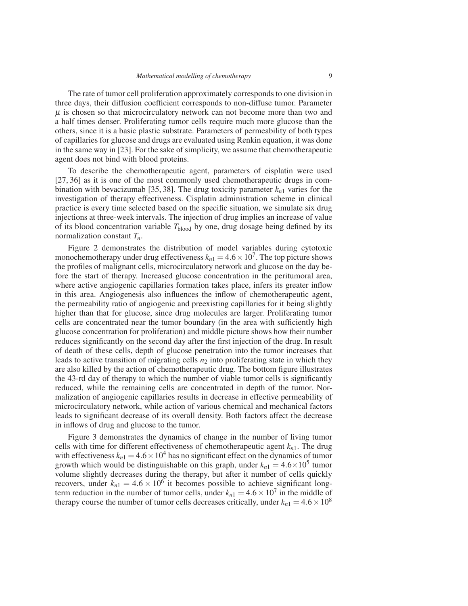The rate of tumor cell proliferation approximately corresponds to one division in three days, their diffusion coefficient corresponds to non-diffuse tumor. Parameter  $\mu$  is chosen so that microcirculatory network can not become more than two and a half times denser. Proliferating tumor cells require much more glucose than the others, since it is a basic plastic substrate. Parameters of permeability of both types of capillaries for glucose and drugs are evaluated using Renkin equation, it was done in the same way in [23]. For the sake of simplicity, we assume that chemotherapeutic agent does not bind with blood proteins.

To describe the chemotherapeutic agent, parameters of cisplatin were used [27, 36] as it is one of the most commonly used chemotherapeutic drugs in combination with bevacizumab [35, 38]. The drug toxicity parameter  $k_{n1}$  varies for the investigation of therapy effectiveness. Cisplatin administration scheme in clinical practice is every time selected based on the specific situation, we simulate six drug injections at three-week intervals. The injection of drug implies an increase of value of its blood concentration variable *T*blood by one, drug dosage being defined by its normalization constant *Tn*.

Figure 2 demonstrates the distribution of model variables during cytotoxic monochemotherapy under drug effectiveness  $k_{n1} = 4.6 \times 10^{7}$ . The top picture shows the profiles of malignant cells, microcirculatory network and glucose on the day before the start of therapy. Increased glucose concentration in the peritumoral area, where active angiogenic capillaries formation takes place, infers its greater inflow in this area. Angiogenesis also influences the inflow of chemotherapeutic agent, the permeability ratio of angiogenic and preexisting capillaries for it being slightly higher than that for glucose, since drug molecules are larger. Proliferating tumor cells are concentrated near the tumor boundary (in the area with sufficiently high glucose concentration for proliferation) and middle picture shows how their number reduces significantly on the second day after the first injection of the drug. In result of death of these cells, depth of glucose penetration into the tumor increases that leads to active transition of migrating cells  $n_2$  into proliferating state in which they are also killed by the action of chemotherapeutic drug. The bottom figure illustrates the 43-rd day of therapy to which the number of viable tumor cells is significantly reduced, while the remaining cells are concentrated in depth of the tumor. Normalization of angiogenic capillaries results in decrease in effective permeability of microcirculatory network, while action of various chemical and mechanical factors leads to significant decrease of its overall density. Both factors affect the decrease in inflows of drug and glucose to the tumor.

Figure 3 demonstrates the dynamics of change in the number of living tumor cells with time for different effectiveness of chemotherapeutic agent  $k_{n1}$ . The drug with effectiveness  $k_{n1} = 4.6 \times 10^4$  has no significant effect on the dynamics of tumor growth which would be distinguishable on this graph, under  $k_{n1} = 4.6 \times 10^5$  tumor volume slightly decreases during the therapy, but after it number of cells quickly recovers, under  $k_{n1} = 4.6 \times 10^6$  it becomes possible to achieve significant longterm reduction in the number of tumor cells, under  $k_{n1} = 4.6 \times 10^7$  in the middle of therapy course the number of tumor cells decreases critically, under  $k_{n1} = 4.6 \times 10^8$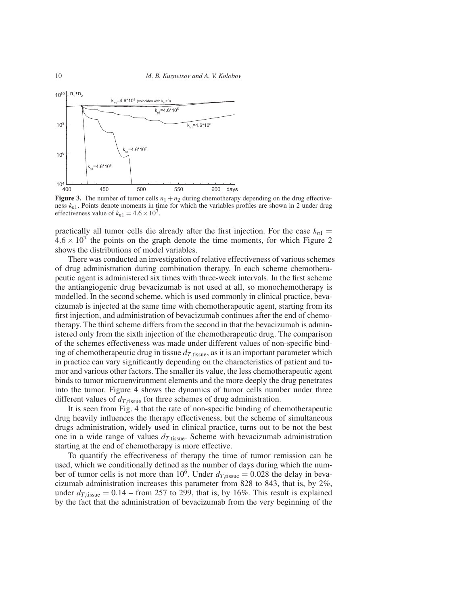

Figure 3. The number of tumor cells  $n_1 + n_2$  during chemotherapy depending on the drug effectiveness  $k_{n}$ . Points denote moments in time for which the variables profiles are shown in 2 under drug effectiveness value of  $k_{n1} = 4.6 \times 10^{7}$ .

practically all tumor cells die already after the first injection. For the case  $k_{n1}$  =  $4.6 \times 10^7$  the points on the graph denote the time moments, for which Figure 2 shows the distributions of model variables.

There was conducted an investigation of relative effectiveness of various schemes of drug administration during combination therapy. In each scheme chemotherapeutic agent is administered six times with three-week intervals. In the first scheme the antiangiogenic drug bevacizumab is not used at all, so monochemotherapy is modelled. In the second scheme, which is used commonly in clinical practice, bevacizumab is injected at the same time with chemotherapeutic agent, starting from its first injection, and administration of bevacizumab continues after the end of chemotherapy. The third scheme differs from the second in that the bevacizumab is administered only from the sixth injection of the chemotherapeutic drug. The comparison of the schemes effectiveness was made under different values of non-specific binding of chemotherapeutic drug in tissue  $d_{T, \text{tissue}}$ , as it is an important parameter which in practice can vary significantly depending on the characteristics of patient and tumor and various other factors. The smaller its value, the less chemotherapeutic agent binds to tumor microenvironment elements and the more deeply the drug penetrates into the tumor. Figure 4 shows the dynamics of tumor cells number under three different values of  $d_{T,\text{tissue}}$  for three schemes of drug administration.

It is seen from Fig. 4 that the rate of non-specific binding of chemotherapeutic drug heavily influences the therapy effectiveness, but the scheme of simultaneous drugs administration, widely used in clinical practice, turns out to be not the best one in a wide range of values  $d_{\textit{T,tissue}}$ . Scheme with bevacizumab administration starting at the end of chemotherapy is more effective.

To quantify the effectiveness of therapy the time of tumor remission can be used, which we conditionally defined as the number of days during which the number of tumor cells is not more than  $10^6$ . Under  $d_{T,\text{tissue}} = 0.028$  the delay in bevacizumab administration increases this parameter from 828 to 843, that is, by 2%, under  $d_{\text{T,tissue}} = 0.14$  – from 257 to 299, that is, by 16%. This result is explained by the fact that the administration of bevacizumab from the very beginning of the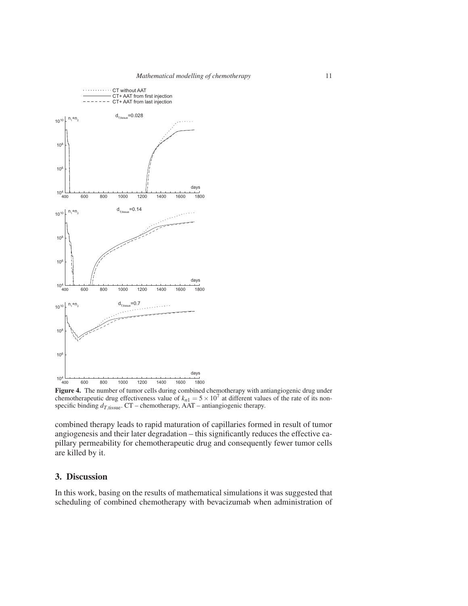

Figure 4. The number of tumor cells during combined chemotherapy with antiangiogenic drug under chemotherapeutic drug effectiveness value of  $k_{n1} = 5 \times 10^{7}$  at different values of the rate of its nonspecific binding  $d_{T,\text{tissue}}$ . CT – chemotherapy, AAT – antiangiogenic therapy.

combined therapy leads to rapid maturation of capillaries formed in result of tumor angiogenesis and their later degradation – this significantly reduces the effective capillary permeability for chemotherapeutic drug and consequently fewer tumor cells are killed by it.

# 3. Discussion

In this work, basing on the results of mathematical simulations it was suggested that scheduling of combined chemotherapy with bevacizumab when administration of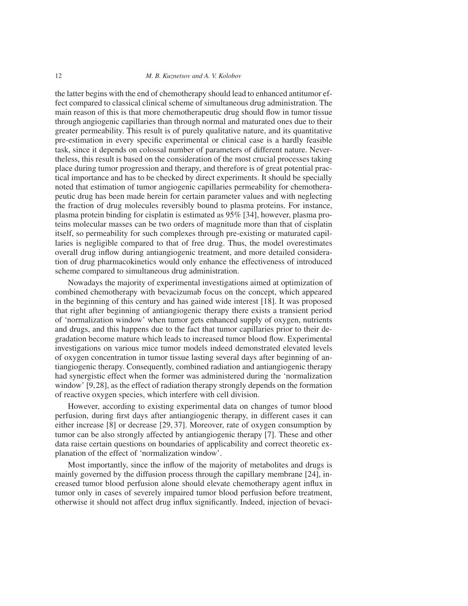## 12 *M. B. Kuznetsov and A. V. Kolobov*

the latter begins with the end of chemotherapy should lead to enhanced antitumor effect compared to classical clinical scheme of simultaneous drug administration. The main reason of this is that more chemotherapeutic drug should flow in tumor tissue through angiogenic capillaries than through normal and maturated ones due to their greater permeability. This result is of purely qualitative nature, and its quantitative pre-estimation in every specific experimental or clinical case is a hardly feasible task, since it depends on colossal number of parameters of different nature. Nevertheless, this result is based on the consideration of the most crucial processes taking place during tumor progression and therapy, and therefore is of great potential practical importance and has to be checked by direct experiments. It should be specially noted that estimation of tumor angiogenic capillaries permeability for chemotherapeutic drug has been made herein for certain parameter values and with neglecting the fraction of drug molecules reversibly bound to plasma proteins. For instance, plasma protein binding for cisplatin is estimated as 95% [34], however, plasma proteins molecular masses can be two orders of magnitude more than that of cisplatin itself, so permeability for such complexes through pre-existing or maturated capillaries is negligible compared to that of free drug. Thus, the model overestimates overall drug inflow during antiangiogenic treatment, and more detailed consideration of drug pharmacokinetics would only enhance the effectiveness of introduced scheme compared to simultaneous drug administration.

Nowadays the majority of experimental investigations aimed at optimization of combined chemotherapy with bevacizumab focus on the concept, which appeared in the beginning of this century and has gained wide interest [18]. It was proposed that right after beginning of antiangiogenic therapy there exists a transient period of 'normalization window' when tumor gets enhanced supply of oxygen, nutrients and drugs, and this happens due to the fact that tumor capillaries prior to their degradation become mature which leads to increased tumor blood flow. Experimental investigations on various mice tumor models indeed demonstrated elevated levels of oxygen concentration in tumor tissue lasting several days after beginning of antiangiogenic therapy. Consequently, combined radiation and antiangiogenic therapy had synergistic effect when the former was administered during the 'normalization window' [9,28], as the effect of radiation therapy strongly depends on the formation of reactive oxygen species, which interfere with cell division.

However, according to existing experimental data on changes of tumor blood perfusion, during first days after antiangiogenic therapy, in different cases it can either increase [8] or decrease [29, 37]. Moreover, rate of oxygen consumption by tumor can be also strongly affected by antiangiogenic therapy [7]. These and other data raise certain questions on boundaries of applicability and correct theoretic explanation of the effect of 'normalization window'.

Most importantly, since the inflow of the majority of metabolites and drugs is mainly governed by the diffusion process through the capillary membrane [24], increased tumor blood perfusion alone should elevate chemotherapy agent influx in tumor only in cases of severely impaired tumor blood perfusion before treatment, otherwise it should not affect drug influx significantly. Indeed, injection of bevaci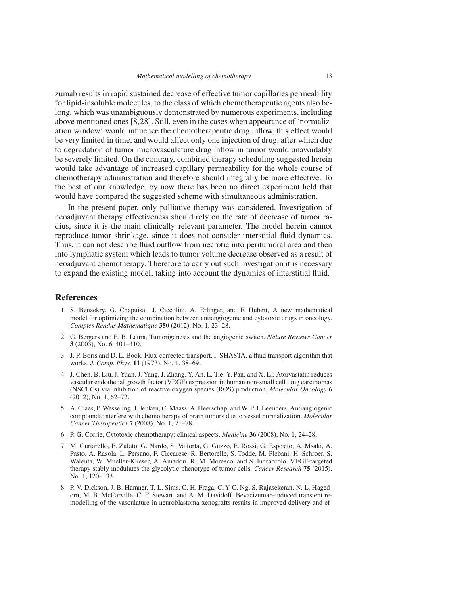zumab results in rapid sustained decrease of effective tumor capillaries permeability for lipid-insoluble molecules, to the class of which chemotherapeutic agents also belong, which was unambiguously demonstrated by numerous experiments, including above mentioned ones [8,28]. Still, even in the cases when appearance of 'normalization window' would influence the chemotherapeutic drug inflow, this effect would be very limited in time, and would affect only one injection of drug, after which due to degradation of tumor microvasculature drug inflow in tumor would unavoidably be severely limited. On the contrary, combined therapy scheduling suggested herein would take advantage of increased capillary permeability for the whole course of chemotherapy administration and therefore should integrally be more effective. To the best of our knowledge, by now there has been no direct experiment held that would have compared the suggested scheme with simultaneous administration.

In the present paper, only palliative therapy was considered. Investigation of neoadjuvant therapy effectiveness should rely on the rate of decrease of tumor radius, since it is the main clinically relevant parameter. The model herein cannot reproduce tumor shrinkage, since it does not consider interstitial fluid dynamics. Thus, it can not describe fluid outflow from necrotic into peritumoral area and then into lymphatic system which leads to tumor volume decrease observed as a result of neoadjuvant chemotherapy. Therefore to carry out such investigation it is necessary to expand the existing model, taking into account the dynamics of interstitial fluid.

# **References**

- 1. S. Benzekry, G. Chapuisat, J. Ciccolini, A. Erlinger, and F. Hubert, A new mathematical model for optimizing the combination between antiangiogenic and cytotoxic drugs in oncology. *Comptes Rendus Mathematique* 350 (2012), No. 1, 23–28.
- 2. G. Bergers and E. B. Laura, Tumorigenesis and the angiogenic switch. *Nature Reviews Cancer* 3 (2003), No. 6, 401–410.
- 3. J. P. Boris and D. L. Book, Flux-corrected transport, I. SHASTA, a fluid transport algorithm that works. *J. Comp. Phys.* 11 (1973), No. 1, 38–69.
- 4. J. Chen, B. Liu, J. Yuan, J. Yang, J. Zhang, Y. An, L. Tie, Y. Pan, and X. Li, Atorvastatin reduces vascular endothelial growth factor (VEGF) expression in human non-small cell lung carcinomas (NSCLCs) via inhibition of reactive oxygen species (ROS) production. *Molecular Oncology* 6 (2012), No. 1, 62–72.
- 5. A. Claes, P. Wesseling, J. Jeuken, C. Maass, A. Heerschap, and W. P. J. Leenders, Antiangiogenic compounds interfere with chemotherapy of brain tumors due to vessel normalization. *Molecular Cancer Therapeutics* 7 (2008), No. 1, 71–78.
- 6. P. G. Corrie, Cytotoxic chemotherapy: clinical aspects. *Medicine* 36 (2008), No. 1, 24–28.
- 7. M. Curtarello, E. Zulato, G. Nardo, S. Valtorta, G. Guzzo, E. Rossi, G. Esposito, A. Msaki, A. Pasto, A. Rasola, L. Persano, F. Ciccarese, R. Bertorelle, S. Todde, M. Plebani, H. Schroer, S. Walenta, W. Mueller-Klieser, A. Amadori, R. M. Moresco, and S. Indraccolo. VEGF-targeted therapy stably modulates the glycolytic phenotype of tumor cells. *Cancer Research* 75 (2015), No. 1, 120–133.
- 8. P. V. Dickson, J. B. Hamner, T. L. Sims, C. H. Fraga, C. Y. C. Ng, S. Rajasekeran, N. L. Hagedorn, M. B. McCarville, C. F. Stewart, and A. M. Davidoff, Bevacizumab-induced transient remodelling of the vasculature in neuroblastoma xenografts results in improved delivery and ef-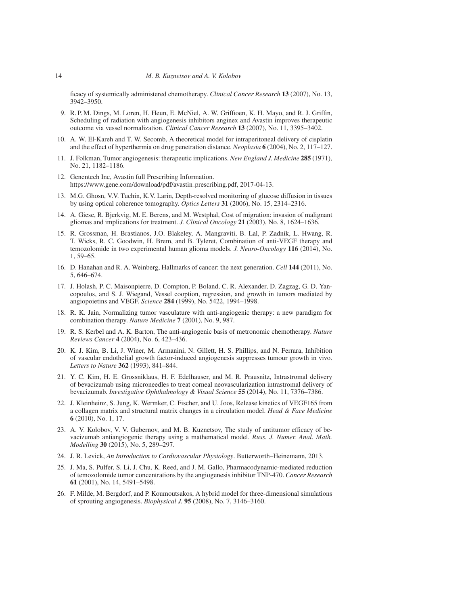ficacy of systemically administered chemotherapy. *Clinical Cancer Research* 13 (2007), No. 13, 3942–3950.

- 9. R. P. M. Dings, M. Loren, H. Heun, E. McNiel, A. W. Griffioen, K. H. Mayo, and R. J. Griffin, Scheduling of radiation with angiogenesis inhibitors anginex and Avastin improves therapeutic outcome via vessel normalization. *Clinical Cancer Research* 13 (2007), No. 11, 3395–3402.
- 10. A. W. El-Kareh and T. W. Secomb, A theoretical model for intraperitoneal delivery of cisplatin and the effect of hyperthermia on drug penetration distance. *Neoplasia* 6 (2004), No. 2, 117–127.
- 11. J. Folkman, Tumor angiogenesis: therapeutic implications. *New England J. Medicine* 285 (1971), No. 21, 1182–1186.
- 12. Genentech Inc, Avastin full Prescribing Information. https://www.gene.com/download/pdf/avastin prescribing.pdf, 2017-04-13.
- 13. M.G. Ghosn, V.V. Tuchin, K.V. Larin, Depth-resolved monitoring of glucose diffusion in tissues by using optical coherence tomography. *Optics Letters* 31 (2006), No. 15, 2314–2316.
- 14. A. Giese, R. Bjerkvig, M. E. Berens, and M. Westphal, Cost of migration: invasion of malignant gliomas and implications for treatment. *J. Clinical Oncology* 21 (2003), No. 8, 1624–1636.
- 15. R. Grossman, H. Brastianos, J.O. Blakeley, A. Mangraviti, B. Lal, P. Zadnik, L. Hwang, R. T. Wicks, R. C. Goodwin, H. Brem, and B. Tyleret, Combination of anti-VEGF therapy and temozolomide in two experimental human glioma models. *J. Neuro-Oncology* 116 (2014), No. 1, 59–65.
- 16. D. Hanahan and R. A. Weinberg, Hallmarks of cancer: the next generation. *Cell* 144 (2011), No. 5, 646–674.
- 17. J. Holash, P. C. Maisonpierre, D. Compton, P. Boland, C. R. Alexander, D. Zagzag, G. D. Yancopoulos, and S. J. Wiegand, Vessel cooption, regression, and growth in tumors mediated by angiopoietins and VEGF. *Science* 284 (1999), No. 5422, 1994–1998.
- 18. R. K. Jain, Normalizing tumor vasculature with anti-angiogenic therapy: a new paradigm for combination therapy. *Nature Medicine* 7 (2001), No. 9, 987.
- 19. R. S. Kerbel and A. K. Barton, The anti-angiogenic basis of metronomic chemotherapy. *Nature Reviews Cancer* 4 (2004), No. 6, 423–436.
- 20. K. J. Kim, B. Li, J. Winer, M. Armanini, N. Gillett, H. S. Phillips, and N. Ferrara, Inhibition of vascular endothelial growth factor-induced angiogenesis suppresses tumour growth in vivo. *Letters to Nature* 362 (1993), 841–844.
- 21. Y. C. Kim, H. E. Grossniklaus, H. F. Edelhauser, and M. R. Prausnitz, Intrastromal delivery of bevacizumab using microneedles to treat corneal neovascularization intrastromal delivery of bevacizumab. *Investigative Ophthalmology & Visual Science* 55 (2014), No. 11, 7376–7386.
- 22. J. Kleinheinz, S. Jung, K. Wermker, C. Fischer, and U. Joos, Release kinetics of VEGF165 from a collagen matrix and structural matrix changes in a circulation model. *Head & Face Medicine* 6 (2010), No. 1, 17.
- 23. A. V. Kolobov, V. V. Gubernov, and M. B. Kuznetsov, The study of antitumor efficacy of bevacizumab antiangiogenic therapy using a mathematical model. *Russ. J. Numer. Anal. Math. Modelling* 30 (2015), No. 5, 289–297.
- 24. J. R. Levick, *An Introduction to Cardiovascular Physiology*. Butterworth–Heinemann, 2013.
- 25. J. Ma, S. Pulfer, S. Li, J. Chu, K. Reed, and J. M. Gallo, Pharmacodynamic-mediated reduction of temozolomide tumor concentrations by the angiogenesis inhibitor TNP-470. *Cancer Research* 61 (2001), No. 14, 5491–5498.
- 26. F. Milde, M. Bergdorf, and P. Koumoutsakos, A hybrid model for three-dimensional simulations of sprouting angiogenesis. *Biophysical J.* 95 (2008), No. 7, 3146–3160.